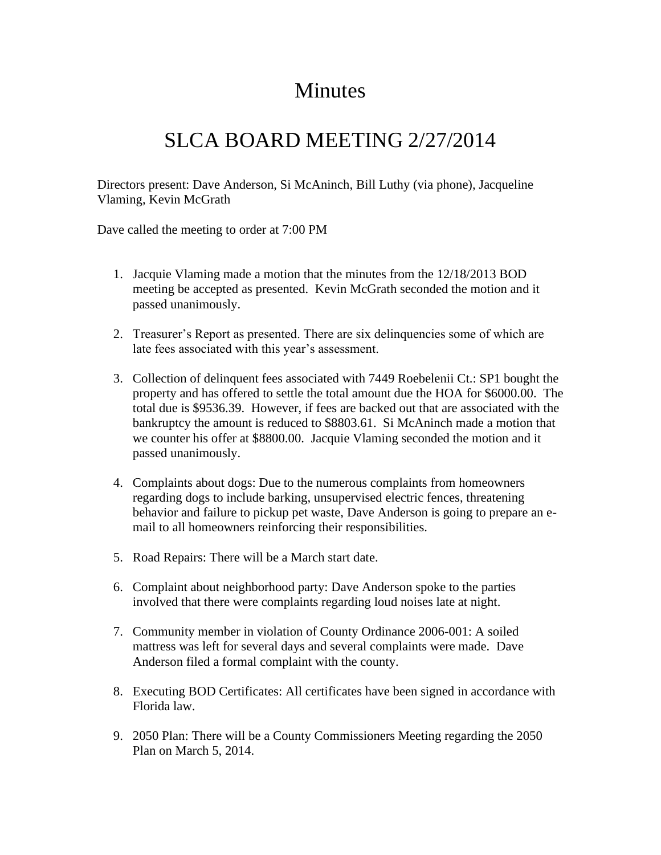## **Minutes**

## SLCA BOARD MEETING 2/27/2014

Directors present: Dave Anderson, Si McAninch, Bill Luthy (via phone), Jacqueline Vlaming, Kevin McGrath

Dave called the meeting to order at 7:00 PM

- 1. Jacquie Vlaming made a motion that the minutes from the 12/18/2013 BOD meeting be accepted as presented. Kevin McGrath seconded the motion and it passed unanimously.
- 2. Treasurer's Report as presented. There are six delinquencies some of which are late fees associated with this year's assessment.
- 3. Collection of delinquent fees associated with 7449 Roebelenii Ct.: SP1 bought the property and has offered to settle the total amount due the HOA for \$6000.00. The total due is \$9536.39. However, if fees are backed out that are associated with the bankruptcy the amount is reduced to \$8803.61. Si McAninch made a motion that we counter his offer at \$8800.00. Jacquie Vlaming seconded the motion and it passed unanimously.
- 4. Complaints about dogs: Due to the numerous complaints from homeowners regarding dogs to include barking, unsupervised electric fences, threatening behavior and failure to pickup pet waste, Dave Anderson is going to prepare an email to all homeowners reinforcing their responsibilities.
- 5. Road Repairs: There will be a March start date.
- 6. Complaint about neighborhood party: Dave Anderson spoke to the parties involved that there were complaints regarding loud noises late at night.
- 7. Community member in violation of County Ordinance 2006-001: A soiled mattress was left for several days and several complaints were made. Dave Anderson filed a formal complaint with the county.
- 8. Executing BOD Certificates: All certificates have been signed in accordance with Florida law.
- 9. 2050 Plan: There will be a County Commissioners Meeting regarding the 2050 Plan on March 5, 2014.